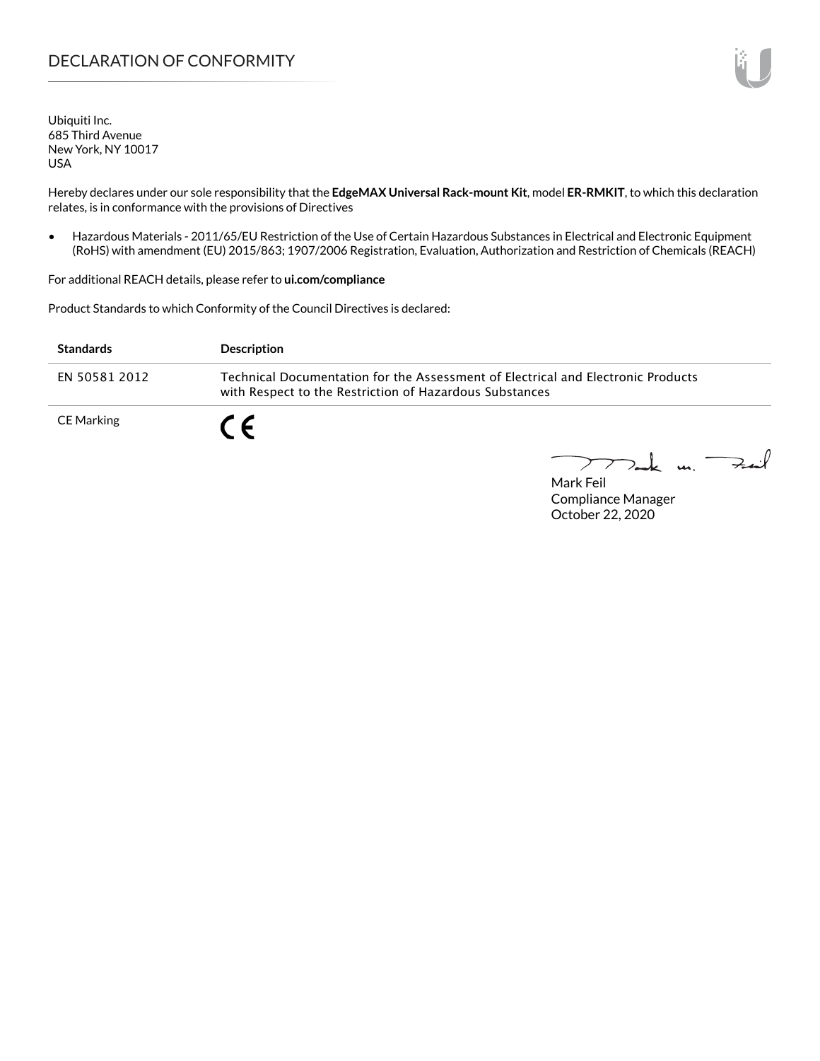Ubiquiti Inc. 685 Third Avenue New York, NY 10017 USA

Hereby declares under our sole responsibility that the **EdgeMAX Universal Rack-mount Kit**, model **ER-RMKIT**, to which this declaration relates, is in conformance with the provisions of Directives

• Hazardous Materials - 2011/65/EU Restriction of the Use of Certain Hazardous Substances in Electrical and Electronic Equipment (RoHS) with amendment (EU) 2015/863; 1907/2006 Registration, Evaluation, Authorization and Restriction of Chemicals (REACH)

For additional REACH details, please refer to **[ui.com/compliance](http://ui.com/compliance )**

Product Standards to which Conformity of the Council Directives is declared:

| <b>Standards</b> | <b>Description</b>                                                                                                                          |
|------------------|---------------------------------------------------------------------------------------------------------------------------------------------|
| EN 50581 2012    | Technical Documentation for the Assessment of Electrical and Electronic Products<br>with Respect to the Restriction of Hazardous Substances |
| CE Marking       | CE                                                                                                                                          |

Tak m. Fait

Mark Feil Compliance Manager October 22, 2020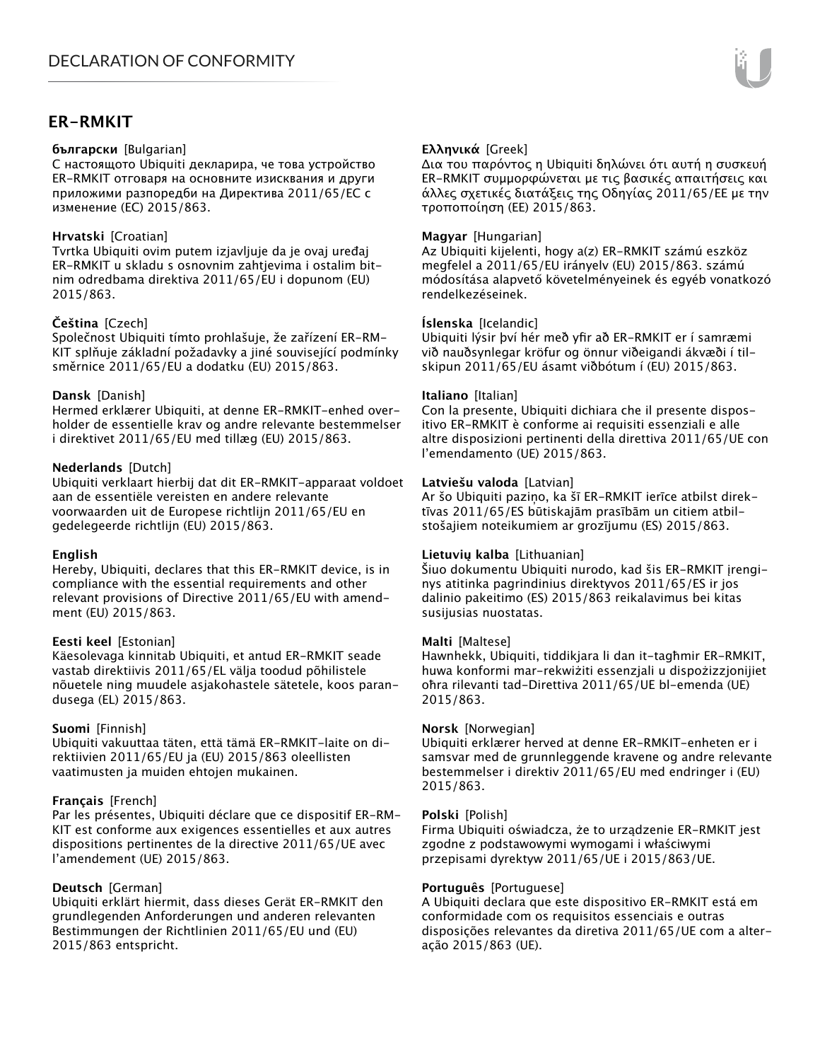# **ER-RMKIT**

### **български** [Bulgarian]

С настоящото Ubiquiti декларира, че това устройство ER-RMKIT отговаря на основните изисквания и други приложими разпоредби на Директива 2011/65/ЕС с изменение (ЕС) 2015/863.

# **Hrvatski** [Croatian]

Tvrtka Ubiquiti ovim putem izjavljuje da je ovaj uređaj ER-RMKIT u skladu s osnovnim zahtjevima i ostalim bitnim odredbama direktiva 2011/65/EU i dopunom (EU) 2015/863.

# **Čeština** [Czech]

Společnost Ubiquiti tímto prohlašuje, že zařízení ER-RM-KIT splňuje základní požadavky a jiné související podmínky směrnice 2011/65/EU a dodatku (EU) 2015/863.

# **Dansk** [Danish]

Hermed erklærer Ubiquiti, at denne ER-RMKIT-enhed overholder de essentielle krav og andre relevante bestemmelser i direktivet 2011/65/EU med tillæg (EU) 2015/863.

# **Nederlands** [Dutch]

Ubiquiti verklaart hierbij dat dit ER-RMKIT-apparaat voldoet aan de essentiële vereisten en andere relevante voorwaarden uit de Europese richtlijn 2011/65/EU en gedelegeerde richtlijn (EU) 2015/863.

# **English**

Hereby, Ubiquiti, declares that this ER-RMKIT device, is in compliance with the essential requirements and other relevant provisions of Directive 2011/65/EU with amendment (EU) 2015/863.

# **Eesti keel** [Estonian]

Käesolevaga kinnitab Ubiquiti, et antud ER-RMKIT seade vastab direktiivis 2011/65/EL välja toodud põhilistele nõuetele ning muudele asjakohastele sätetele, koos parandusega (EL) 2015/863.

# **Suomi** [Finnish]

Ubiquiti vakuuttaa täten, että tämä ER-RMKIT-laite on direktiivien 2011/65/EU ja (EU) 2015/863 oleellisten vaatimusten ja muiden ehtojen mukainen.

# **Français** [French]

Par les présentes, Ubiquiti déclare que ce dispositif ER-RM-KIT est conforme aux exigences essentielles et aux autres dispositions pertinentes de la directive 2011/65/UE avec l'amendement (UE) 2015/863.

# **Deutsch** [German]

Ubiquiti erklärt hiermit, dass dieses Gerät ER-RMKIT den grundlegenden Anforderungen und anderen relevanten Bestimmungen der Richtlinien 2011/65/EU und (EU) 2015/863 entspricht.

# **Ελληνικά** [Greek]

Δια του παρόντος η Ubiquiti δηλώνει ότι αυτή η συσκευή ER-RMKIT συμμορφώνεται με τις βασικές απαιτήσεις και άλλες σχετικές διατάξεις της Οδηγίας 2011/65/ΕΕ με την τροποποίηση (ΕΕ) 2015/863.

# **Magyar** [Hungarian]

Az Ubiquiti kijelenti, hogy a(z) ER-RMKIT számú eszköz megfelel a 2011/65/EU irányelv (EU) 2015/863. számú módosítása alapvető követelményeinek és egyéb vonatkozó rendelkezéseinek.

# **Íslenska** [Icelandic]

Ubiquiti lýsir því hér með yfir að ER-RMKIT er í samræmi við nauðsynlegar kröfur og önnur viðeigandi ákvæði í tilskipun 2011/65/EU ásamt viðbótum í (EU) 2015/863.

### **Italiano** [Italian]

Con la presente, Ubiquiti dichiara che il presente dispositivo ER-RMKIT è conforme ai requisiti essenziali e alle altre disposizioni pertinenti della direttiva 2011/65/UE con l'emendamento (UE) 2015/863.

### **Latviešu valoda** [Latvian]

Ar šo Ubiquiti paziņo, ka šī ER-RMKIT ierīce atbilst direktīvas 2011/65/ES būtiskajām prasībām un citiem atbilstošajiem noteikumiem ar grozījumu (ES) 2015/863.

# **Lietuvių kalba** [Lithuanian]

Šiuo dokumentu Ubiquiti nurodo, kad šis ER-RMKIT įrenginys atitinka pagrindinius direktyvos 2011/65/ES ir jos dalinio pakeitimo (ES) 2015/863 reikalavimus bei kitas susijusias nuostatas.

# **Malti** [Maltese]

Hawnhekk, Ubiquiti, tiddikjara li dan it-tagħmir ER-RMKIT, huwa konformi mar-rekwiżiti essenzjali u dispożizzjonijiet oħra rilevanti tad-Direttiva 2011/65/UE bl-emenda (UE) 2015/863.

# **Norsk** [Norwegian]

Ubiquiti erklærer herved at denne ER-RMKIT-enheten er i samsvar med de grunnleggende kravene og andre relevante bestemmelser i direktiv 2011/65/EU med endringer i (EU) 2015/863.

### **Polski** [Polish]

Firma Ubiquiti oświadcza, że to urządzenie ER-RMKIT jest zgodne z podstawowymi wymogami i właściwymi przepisami dyrektyw 2011/65/UE i 2015/863/UE.

# **Português** [Portuguese]

A Ubiquiti declara que este dispositivo ER-RMKIT está em conformidade com os requisitos essenciais e outras disposições relevantes da diretiva 2011/65/UE com a alteração 2015/863 (UE).